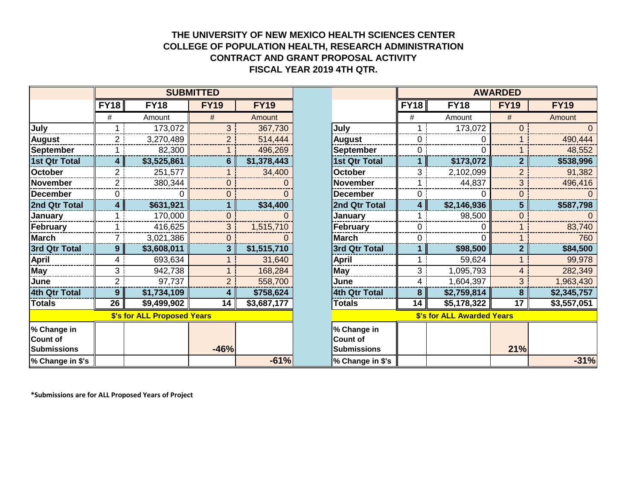## **THE UNIVERSITY OF NEW MEXICO HEALTH SCIENCES CENTER COLLEGE OF POPULATION HEALTH, RESEARCH ADMINISTRATION CONTRACT AND GRANT PROPOSAL ACTIVITY FISCAL YEAR 2019 4TH QTR.**

|                                                      | <b>SUBMITTED</b> |             |                |             |                                                      | <b>AWARDED</b>             |             |                |             |  |
|------------------------------------------------------|------------------|-------------|----------------|-------------|------------------------------------------------------|----------------------------|-------------|----------------|-------------|--|
|                                                      | FY18             | <b>FY18</b> | <b>FY19</b>    | <b>FY19</b> |                                                      | <b>FY18</b>                | <b>FY18</b> | <b>FY19</b>    | <b>FY19</b> |  |
|                                                      | #                | Amount      | #              | Amount      |                                                      | #                          | Amount      | #              | Amount      |  |
| July                                                 |                  | 173,072     | 3 <sup>1</sup> | 367,730     | July                                                 |                            | 173,072     | 0              |             |  |
| <b>August</b>                                        | $\overline{2}$   | 3,270,489   | 2              | 514,444     | <b>August</b>                                        | 0                          | $^{(1)}$    |                | 490,444     |  |
| <b>September</b>                                     |                  | 82,300      |                | 496,269     | <b>September</b>                                     | 0                          | 0           |                | 48,552      |  |
| <b>1st Qtr Total</b>                                 | 4                | \$3,525,861 | 6              | \$1,378,443 | <b>1st Qtr Total</b>                                 |                            | \$173,072   | $\mathbf{2}$   | \$538,996   |  |
| October                                              | 2.               | 251,577     |                | 34,400      | <b>October</b>                                       | 3                          | 2,102,099   | $\overline{2}$ | 91,382      |  |
| <b>November</b>                                      | $\overline{2}$   | 380,344     | 0              |             | November                                             |                            | 44,837      | 3              | 496,416     |  |
| <b>December</b>                                      | 0                | O           | $\overline{0}$ |             | <b>December</b>                                      | 0                          |             | 0              |             |  |
| 2nd Qtr Total                                        | 4                | \$631,921   |                | \$34,400    | 2nd Qtr Total                                        | 4                          | \$2,146,936 | 5.             | \$587,798   |  |
| January                                              |                  | 170,000     | $\Omega$       |             | <b>January</b>                                       |                            | 98,500      | 0              |             |  |
| February                                             |                  | 416,625     | 3 <sup>1</sup> | 1,515,710   | February                                             | 0                          | 0           |                | 83,740      |  |
| <b>March</b>                                         | 7                | 3,021,386   | $\mathbf 0$    |             | <b>March</b>                                         | 0                          | $\Omega$    |                | 760         |  |
| 3rd Qtr Total                                        | $9^{\circ}$      | \$3,608,011 | 3              | \$1,515,710 | 3rd Qtr Total                                        |                            | \$98,500    | $\mathbf{2}$   | \$84,500    |  |
| <b>April</b>                                         | 4                | 693,634     |                | 31,640      | <b>April</b>                                         |                            | 59,624      |                | 99,978      |  |
| <b>May</b>                                           | 3                | 942,738     |                | 168,284     | <b>May</b>                                           | 3                          | 1,095,793   | 4              | 282,349     |  |
| June                                                 | $\overline{2}$   | 97,737      | $\overline{2}$ | 558,700     | June                                                 | 4                          | 1,604,397   | 3              | 1,963,430   |  |
| <b>4th Qtr Total</b>                                 | 9 <sup>°</sup>   | \$1,734,109 | 4              | \$758,624   | 4th Qtr Total                                        | 8                          | \$2,759,814 | 8              | \$2,345,757 |  |
| <b>Totals</b>                                        | 26               | \$9,499,902 | 14             | \$3,687,177 | <b>Totals</b>                                        | 14                         | \$5,178,322 | 17             | \$3,557,051 |  |
| \$'s for ALL Proposed Years                          |                  |             |                |             |                                                      | \$'s for ALL Awarded Years |             |                |             |  |
| % Change in<br><b>Count of</b><br><b>Submissions</b> |                  |             | $-46%$         |             | % Change in<br><b>Count of</b><br><b>Submissions</b> |                            |             | 21%            |             |  |
| % Change in \$'s                                     |                  |             |                | $-61%$      | % Change in \$'s                                     |                            |             |                | $-31%$      |  |

**\*Submissions are for ALL Proposed Years of Project**